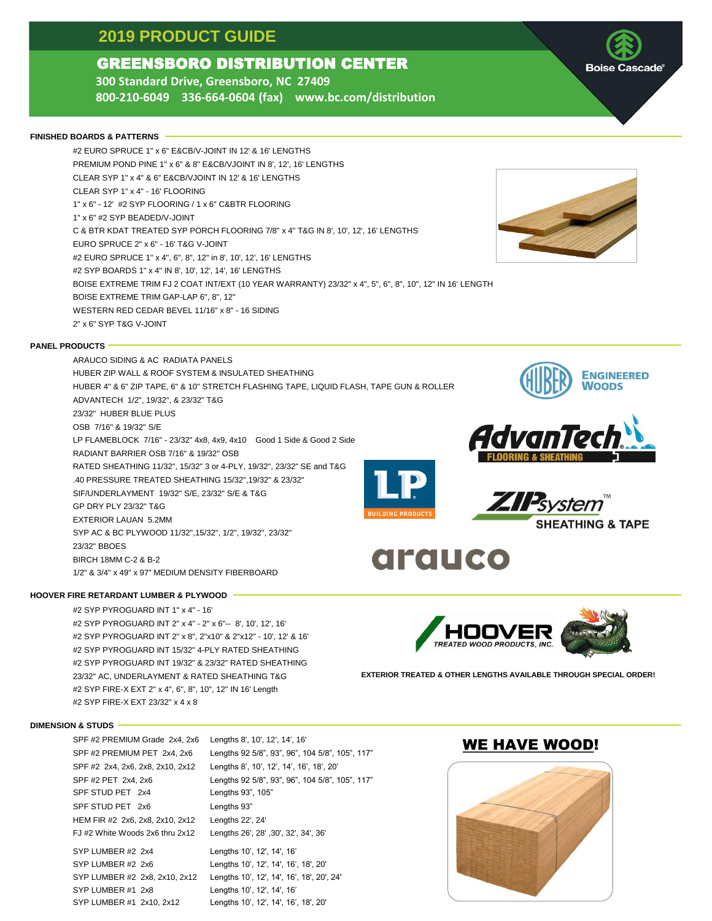# **2019 PRODUCT GUIDE**

## GREENSBORO DISTRIBUTION CENTER

 **300 Standard Drive, Greensboro, NC 27409 800-210-6049 336-664-0604 (fax) www.bc.com/distribution**

**FINISHED BOARDS & PATTERNS**

#2 EURO SPRUCE 1" x 6" E&CB/V-JOINT IN 12' & 16' LENGTHS PREMIUM POND PINE 1" y 6" & 8" E&CB/VJOINT IN 8', 12', 16' LENGTHS CLEAR SYP 1" x 4" & 6" E&CB/VJOINT IN 12' & 16' LENGTHS CLEAR SYP 1" x 4" - 16' FLOORING 1" x 6" - 12' #2 SYP FLOORING / 1 x 6" C&BTR FLOORING 1" x 6" #2 SYP BEADED/V-JOINT C & BTR KDAT TREATED SYP PORCH FLOORING 7/8" x 4" T&G IN 8', 10', 12', 16' LENGTHS EURO SPRUCE 2" x 6" - 16' T&G V-JOINT #2 EURO SPRUCE 1" x 4", 6", 8", 12" in 8', 10', 12', 16' LENGTHS #2 SYP BOARDS 1" x 4" IN 8', 10', 12', 14', 16' LENGTHS BOISE EXTREME TRIM FJ 2 COAT INT/EXT (10 YEAR WARRANTY) 23/32" x 4", 5", 6", 8", 10", 12" IN 16' LENGTH BOISE EXTREME TRIM GAP-LAP 6", 8", 12" WESTERN RED CEDAR BEVEL 11/16" x 8" - 16 SIDING 2" x 6" SYP T&G V-JOINT

### **PANEL PRODUCTS**

ARAUCO SIDING & AC RADIATA PANELS HUBER ZIP WALL & ROOF SYSTEM & INSULATED SHEATHING HUBER 4" & 6" ZIP TAPE, 6" & 10" STRETCH FLASHING TAPE, LIQUID FLASH, TAPE GUN & ROLLER ADVANTECH 1/2", 19/32", & 23/32" T&G 23/32" HUBER BLUE PLUS OSB 7/16" & 19/32" S/E LP FLAMEBLOCK 7/16" - 23/32" 4x8, 4x9, 4x10 Good 1 Side & Good 2 Side RADIANT BARRIER OSB 7/16" & 19/32" OSB RATED SHEATHING 11/32", 15/32" 3 or 4-PLY, 19/32", 23/32" SE and T&G .40 PRESSURE TREATED SHEATHING 15/32",19/32" & 23/32" SIF/UNDERLAYMENT 19/32" S/E, 23/32" S/E & T&G GP DRY PLY 23/32" T&G EXTERIOR LAUAN 5.2MM SYP AC & BC PLYWOOD 11/32",15/32", 1/2", 19/32", 23/32" 23/32" BBOES BIRCH 18MM C-2 & B-2

1/2" & 3/4" x 49" x 97" MEDIUM DENSITY FIBERBOARD

### **HOOVER FIRE RETARDANT LUMBER & PLYWOOD**

#2 SYP PYROGUARD INT 1" x 4" - 16' #2 SYP PYROGUARD INT 2" x 4" - 2" x 6"-- 8', 10', 12', 16' #2 SYP PYROGUARD INT 2" x 8", 2"x10" & 2"x12" - 10', 12' & 16' #2 SYP PYROGUARD INT 15/32" 4-PLY RATED SHEATHING #2 SYP PYROGUARD INT 19/32" & 23/32" RATED SHEATHING 23/32" AC, UNDERLAYMENT & RATED SHEATHING T&G #2 SYP FIRE-X EXT 2" x 4", 6", 8", 10", 12" IN 16' Length #2 SYP FIRE-X EXT 23/32" x 4 x 8

#### **DIMENSION & STUDS**

| SPF #2 PREMIUM Grade 2x4, 2x6<br>L   |   |  |  |  |
|--------------------------------------|---|--|--|--|
| SPF #2 PREMIUM PET 2x4, 2x6<br>L     |   |  |  |  |
| SPF #2 2x4, 2x6, 2x8, 2x10, 2x12     |   |  |  |  |
| L<br>SPF #2 PET 2x4, 2x6             |   |  |  |  |
| SPF STUD PET 2x4<br>L                |   |  |  |  |
| L<br>SPF STUD PET 2x6                |   |  |  |  |
| L<br>HEM FIR #2 2x6, 2x8, 2x10, 2x12 |   |  |  |  |
| FJ#2 White Woods 2x6 thru 2x12       |   |  |  |  |
| SYP LUMBER #2 2x4                    | L |  |  |  |
| SYP LUMBER #2 2x6                    | L |  |  |  |
| SYP LUMBER #2 2x8, 2x10, 2x12        | L |  |  |  |
| SYP LUMBER #1 2x8                    | L |  |  |  |
| $Q(1)$ is interested that $Q(1)$     |   |  |  |  |

engths 8', 10', 12', 14', 16', engths 92 5/8", 93", 96", 104 5/8", 105", 117" engths 8', 10', 12', 14', 16', 18', 20' engths 92 5/8", 93", 96", 104 5/8", 105", 117" engths 93", 105" engths 93" engths 22', 24' engths 26', 28' ,30', 32', 34', 36' engths 10', 12', 14', 16' engths 10', 12', 14', 16', 18', 20' engths 10', 12', 14', 16', 18', 20', 24', engths 10', 12', 14', 16' SYP LUMBER #1 2x10, 2x12 Lengths 10', 12', 14', 16', 18', 20'

## WE HAVE WOOD!

**EXTERIOR TREATED & OTHER LENGTHS AVAILABLE THROUGH SPECIAL ORDER!**















**TREATED WOOD PRODUCT** 



**Boise Cascade®** 

**ENGINEERED** Woops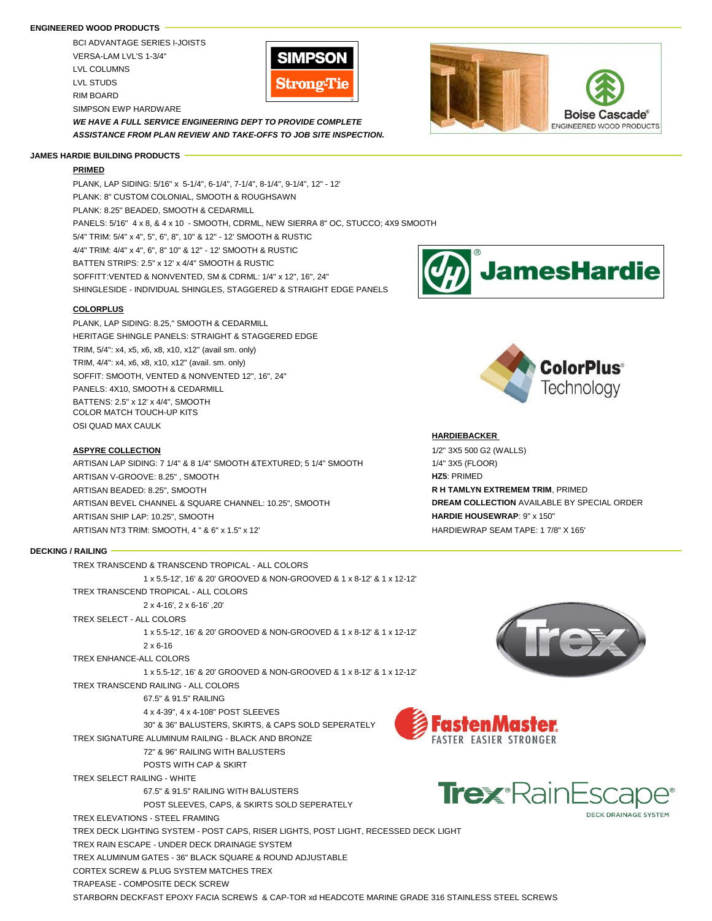#### **ENGINEERED WOOD PRODUCTS**

BCI ADVANTAGE SERIES I-JOISTS VERSA-LAM LVL'S 1-3/4" LVL COLUMNS LVL STUDS RIM BOARD SIMPSON EWP HARDWARE



*ASSISTANCE FROM PLAN REVIEW AND TAKE-OFFS TO JOB SITE INSPECTION. WE HAVE A FULL SERVICE ENGINEERING DEPT TO PROVIDE COMPLETE*

#### **JAMES HARDIE BUILDING PRODUCTS**

#### **PRIMED**

PLANK, LAP SIDING: 5/16" x 5-1/4", 6-1/4", 7-1/4", 8-1/4", 9-1/4", 12" - 12' PLANK: 8" CUSTOM COLONIAL, SMOOTH & ROUGHSAWN PLANK: 8.25" BEADED, SMOOTH & CEDARMILL PANELS: 5/16" 4 x 8, & 4 x 10 - SMOOTH, CDRML, NEW SIERRA 8" OC, STUCCO; 4X9 SMOOTH 5/4" TRIM: 5/4" x 4", 5", 6", 8", 10" & 12" - 12' SMOOTH & RUSTIC 4/4" TRIM: 4/4" x 4", 6", 8" 10" & 12" - 12' SMOOTH & RUSTIC BATTEN STRIPS: 2.5" x 12' x 4/4" SMOOTH & RUSTIC SOFFITT:VENTED & NONVENTED, SM & CDRML: 1/4" x 12", 16", 24" SHINGLESIDE - INDIVIDUAL SHINGLES, STAGGERED & STRAIGHT EDGE PANELS

#### **COLORPLUS**

PLANK, LAP SIDING: 8.25," SMOOTH & CEDARMILL HERITAGE SHINGLE PANELS: STRAIGHT & STAGGERED EDGE TRIM, 5/4": x4, x5, x6, x8, x10, x12" (avail sm. only) TRIM, 4/4": x4, x6, x8, x10, x12" (avail. sm. only) SOFFIT: SMOOTH, VENTED & NONVENTED 12", 16", 24" PANELS: 4X10, SMOOTH & CEDARMILL BATTENS: 2.5" x 12' x 4/4", SMOOTH COLOR MATCH TOUCH-UP KITS OSI QUAD MAX CAULK

#### **ASPYRE COLLECTION** 1/2" 3X5 500 G2 (WAL[LS\)](http://www.google.com/imgres?imgurl=http://www.metalmeshchina.net/upload/201432720564938786.jpg&imgrefurl=http://www.metalmeshchina.net/info/Iron-nails-240-1.htm&h=480&w=640&tbnid=47v5mPOiLA_EjM:&zoom=1&docid=_xZyp2u1_tAZ1M&hl=en&ei=a2O1VIT4D8KvyATM8oDYCQ&tbm=isch&ved=0CDQQMygBMAE&iact=rc&uact=3&dur=4737&page=1&start=0&ndsp=7)

ARTISAN LAP SIDING: 7 1/4" & 8 1/4" SMOOTH &TEXTURED; 5 1/4" SMOOTH 1/4" 3X5 (F[LOOR\)](http://www.google.com/imgres?imgurl=http://www.bifp.com/images/bg-steel.jpg&imgrefurl=http://www.bifp.com/business-unit.php?cn=46&h=1067&w=1600&tbnid=l4bQ-qQ9HNz-nM:&zoom=1&docid=SvwBZf4gzf15RM&hl=en&ei=rmK1VMGbFoiYyQTEqoLoDg&tbm=isch) ARTISAN V-GROOVE: 8.25" , SMOOTH **HZ5**: PRIMED ARTISAN BEADED: 8.25", SMOOTH **R H TAMLYN EXTREMEM TRIM**, PRIMED ARTISAN BEVEL CHANNEL & SQUARE CHANNEL: 10.25", SMOOTH **DREAM COLLECTION** AVAILABLE BY SPECIAL ORDER ARTISAN SHIP LAP: 10.25", SMOOTH **HARDIE HOUSEWRAP**: 9" x 150" ARTISAN NT3 TRIM: SMOOTH, 4 " & 6" x 1.5" x 12" ARTISAN NT3 TRIM: 165' X 165'

#### **DECKING / RAILING**

TREX TRANSCEND & TRANSCEND TROPICAL - ALL COLORS 1 x 5.5-12', 16' & 20' GROOVED & NON-GROOVED & 1 x 8-12' & 1 x 12-12' TREX TRANSCEND TROPICAL - ALL COLORS 2 x 4-16', 2 x 6-16' ,20' TREX SELECT - ALL COLORS 1 x 5.5-12', 16' & 20' GROOVED & NON-GROOVED & 1 x 8-12' & 1 x 12-12' 2 x 6-16 TREX ENHANCE-ALL COLORS 1 x 5.5-12', 16' & 20' GROOVED & NON-GROOVED & 1 x 8-12' & 1 x 12-12' TREX TRANSCEND RAILING - ALL COLORS 67.5" & 91.5" RAILING 4 x 4-39", 4 x 4-108" POST SLEEVES 30" & 36" BALUSTERS, SKIRTS, & CAPS SOLD SEPERATELY TREX SIGNATURE ALUMINUM RAILING - BLACK AND BRONZE 72" & 96" RAILING WITH BALUSTERS POSTS WITH CAP & SKIRT TREX SELECT RAILING - WHITE 67.5" & 91.5" RAILING WITH BALUSTERS POST SLEEVES, CAPS, & SKIRTS SOLD SEPERATELY TREX ELEVATIONS - STEEL FRAMING TREX DECK LIGHTING SYSTEM - POST CAPS, RISER LIGHTS, POST LIGHT, RECESSED DECK LIGHT TREX RAIN ESCAPE - UNDER DECK DRAINAGE SYSTEM TREX ALUMINUM GATES - 36" BLACK SQUARE & ROUND ADJUSTABLE CORTEX SCREW & PLUG SYSTEM MATCHES TREX TRAPEASE - COMPOSITE DECK SCREW STARBORN DECKFAST EPOXY FACIA SCREWS & CAP-TOR xd HEADCOTE MARINE GRADE 316 STAINLESS STEEL SCREWS





#### **HARDIEBACKER**







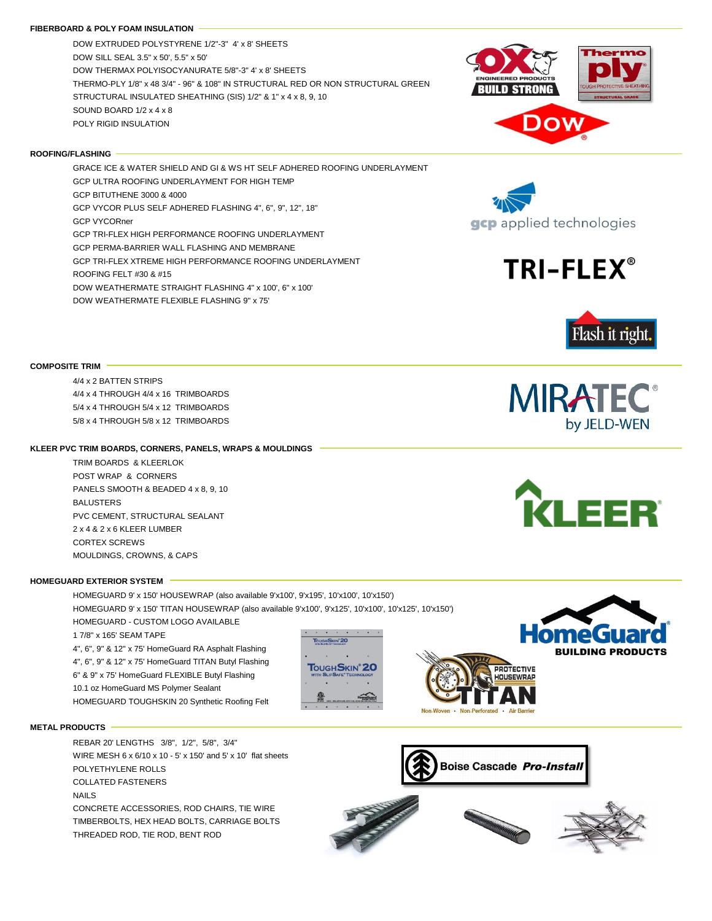#### **FIBERBOARD & POLY FOAM INSULATION**

DOW EXTRUDED POLYSTYRENE 1/2"-3" 4' x 8' SHEETS DOW SILL SEAL 3.5" x 50', 5.5" x 50' DOW THERMAX POLYISOCYANURATE 5/8"-3" 4' x 8' SHEETS THERMO-PLY 1/8" x 48 3/4" - 96" & 108" IN STRUCTURAL RED OR NON STRUCTURAL GREEN STRUCTURAL INSULATED SHEATHING (SIS) 1/2" & 1" x 4 x 8, 9, 10 SOUND BOARD 1/2 x 4 x 8 POLY RIGID INSULATION

#### **ROOFING/FLASHING**

GRACE ICE & WATER SHIELD AND GI & WS HT SELF ADHERED ROOFING UNDERLAYMENT GCP ULTRA ROOFING UNDERLAYMENT FOR HIGH TEMP GCP BITUTHENE 3000 & 4000 GCP VYCOR PLUS SELF ADHERED FLASHING 4", 6", 9", 12", 18" GCP VYCORner GCP TRI-FLEX HIGH PERFORMANCE ROOFING UNDERLAYMENT GCP PERMA-BARRIER WALL FLASHING AND MEMBRANE GCP TRI-FLEX XTREME HIGH PERFORMANCE ROOFING UNDERLAYMENT ROOFING FELT #30 & #15 DOW WEATHERMATE STRAIGHT FLASHING 4" x 100', 6" x 100'

DOW WEATHERMATE FLEXIBLE FLASHING 9" x 75'









by JELD-WEN

### **COMPOSITE TRIM**

4/4 x 2 BATTEN STRIPS 4/4 x 4 THROUGH 4/4 x 16 TRIMBOARDS 5/4 x 4 THROUGH 5/4 x 12 TRIMBOARDS 5/8 x 4 THROUGH 5/8 x 12 TRIMBOARDS

#### **KLEER PVC TRIM BOARDS, CORNERS, PANELS, WRAPS & MOULDINGS**

TRIM BOARDS & KLEERLOK POST WRAP & CORNERS PANELS SMOOTH & BEADED 4 x 8, 9, 10 BALUSTERS PVC CEMENT, STRUCTURAL SEALANT 2 x 4 & 2 x 6 KLEER LUMBER CORTEX SCREWS MOULDINGS, CROWNS, & CAPS



**MIRATEC** 

### **HOMEGUARD EXTERIOR SYSTEM**

HOMEGUARD 9' x 150' HOUSEWRAP (also available 9'x100', 9'x195', 10'x100', 10'x150') HOMEGUARD 9' x 150' TITAN HOUSEWRAP (also available 9'x100', 9'x125', 10'x100', 10'x125', 10'x150') HOMEGUARD - CUSTOM LOGO AVAILABLE 1 7/8" x 165' SEAM TAPE

4", 6", 9" & 12" x 75' HomeGuard RA Asphalt Flashing 4", 6", 9" & 12" x 75' HomeGuard TITAN Butyl Flashing 6" & 9" x 75' HomeGuard FLEXIBLE Butyl Flashing 10.1 oz HomeGuard MS Polymer Sealant HOMEGUARD TOUGHSKIN 20 Synthetic Roofing Felt

GHSKIN<sup>\*</sup>20 TOUGHSKIN<sup>®</sup>20







REBAR 20' LENGTHS 3/8", 1/2", 5/8", 3/4" WIRE MESH 6 x 6/10 x 10 - 5' x 150' and 5' x 10' flat sheets POLYETHYLENE ROLLS COLLATED FASTENERS NAILS CONCRETE ACCESSORIES, ROD CHAIRS, TIE WIRE TIMBERBOLTS, HEX HEAD BOLTS, CARRIAGE BOLTS THREADED ROD, TIE ROD, BENT ROD